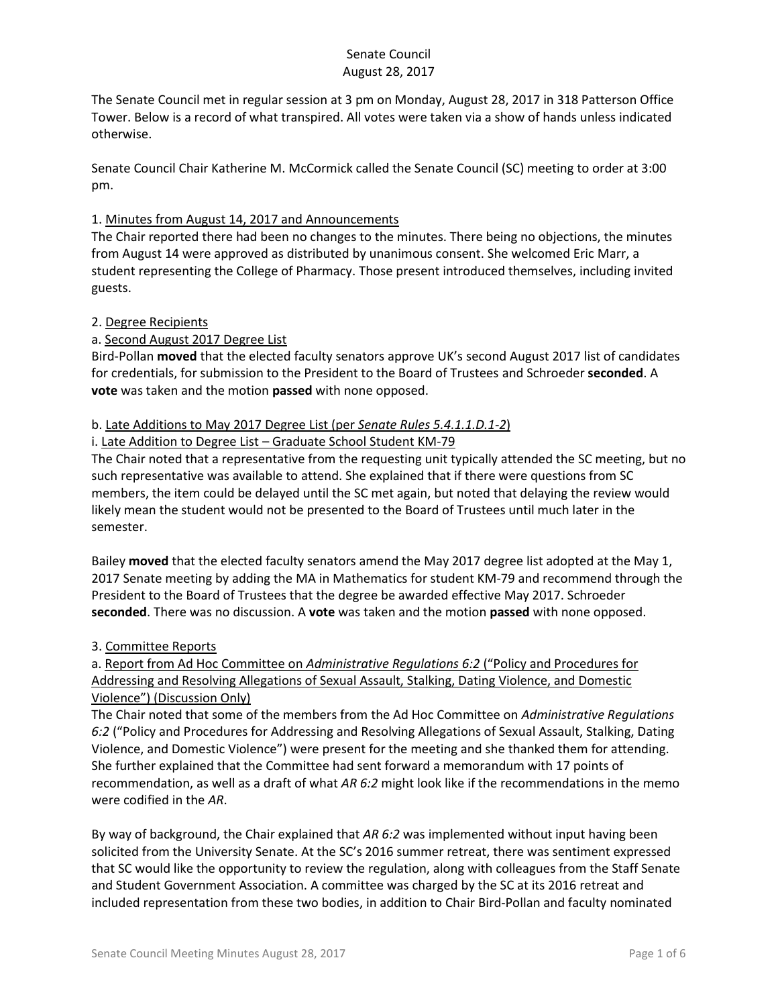The Senate Council met in regular session at 3 pm on Monday, August 28, 2017 in 318 Patterson Office Tower. Below is a record of what transpired. All votes were taken via a show of hands unless indicated otherwise.

Senate Council Chair Katherine M. McCormick called the Senate Council (SC) meeting to order at 3:00 pm.

## 1. Minutes from August 14, 2017 and Announcements

The Chair reported there had been no changes to the minutes. There being no objections, the minutes from August 14 were approved as distributed by unanimous consent. She welcomed Eric Marr, a student representing the College of Pharmacy. Those present introduced themselves, including invited guests.

#### 2. Degree Recipients

### a. Second August 2017 Degree List

Bird-Pollan **moved** that the elected faculty senators approve UK's second August 2017 list of candidates for credentials, for submission to the President to the Board of Trustees and Schroeder **seconded**. A **vote** was taken and the motion **passed** with none opposed.

### b. Late Additions to May 2017 Degree List (per *Senate Rules 5.4.1.1.D.1-2*)

#### i. Late Addition to Degree List – Graduate School Student KM-79

The Chair noted that a representative from the requesting unit typically attended the SC meeting, but no such representative was available to attend. She explained that if there were questions from SC members, the item could be delayed until the SC met again, but noted that delaying the review would likely mean the student would not be presented to the Board of Trustees until much later in the semester.

Bailey **moved** that the elected faculty senators amend the May 2017 degree list adopted at the May 1, 2017 Senate meeting by adding the MA in Mathematics for student KM-79 and recommend through the President to the Board of Trustees that the degree be awarded effective May 2017. Schroeder **seconded**. There was no discussion. A **vote** was taken and the motion **passed** with none opposed.

## 3. Committee Reports

a. Report from Ad Hoc Committee on *Administrative Regulations 6:2* ("Policy and Procedures for Addressing and Resolving Allegations of Sexual Assault, Stalking, Dating Violence, and Domestic Violence") (Discussion Only)

The Chair noted that some of the members from the Ad Hoc Committee on *Administrative Regulations 6:2* ("Policy and Procedures for Addressing and Resolving Allegations of Sexual Assault, Stalking, Dating Violence, and Domestic Violence") were present for the meeting and she thanked them for attending. She further explained that the Committee had sent forward a memorandum with 17 points of recommendation, as well as a draft of what *AR 6:2* might look like if the recommendations in the memo were codified in the *AR*.

By way of background, the Chair explained that *AR 6:2* was implemented without input having been solicited from the University Senate. At the SC's 2016 summer retreat, there was sentiment expressed that SC would like the opportunity to review the regulation, along with colleagues from the Staff Senate and Student Government Association. A committee was charged by the SC at its 2016 retreat and included representation from these two bodies, in addition to Chair Bird-Pollan and faculty nominated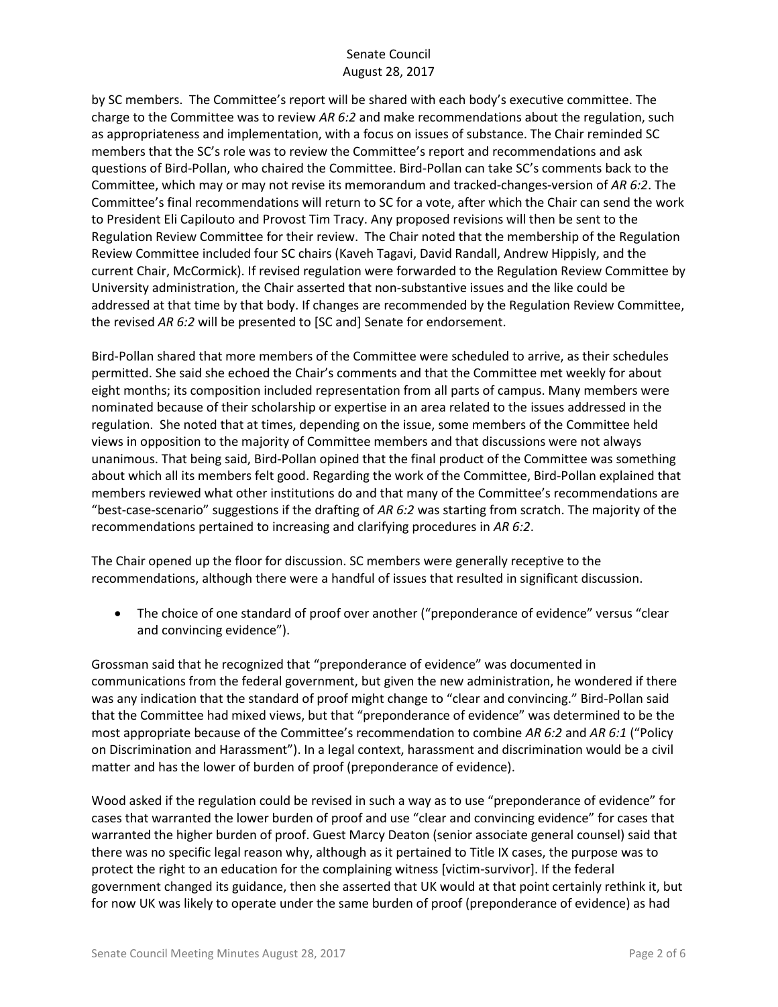by SC members. The Committee's report will be shared with each body's executive committee. The charge to the Committee was to review *AR 6:2* and make recommendations about the regulation, such as appropriateness and implementation, with a focus on issues of substance. The Chair reminded SC members that the SC's role was to review the Committee's report and recommendations and ask questions of Bird-Pollan, who chaired the Committee. Bird-Pollan can take SC's comments back to the Committee, which may or may not revise its memorandum and tracked-changes-version of *AR 6:2*. The Committee's final recommendations will return to SC for a vote, after which the Chair can send the work to President Eli Capilouto and Provost Tim Tracy. Any proposed revisions will then be sent to the Regulation Review Committee for their review. The Chair noted that the membership of the Regulation Review Committee included four SC chairs (Kaveh Tagavi, David Randall, Andrew Hippisly, and the current Chair, McCormick). If revised regulation were forwarded to the Regulation Review Committee by University administration, the Chair asserted that non-substantive issues and the like could be addressed at that time by that body. If changes are recommended by the Regulation Review Committee, the revised *AR 6:2* will be presented to [SC and] Senate for endorsement.

Bird-Pollan shared that more members of the Committee were scheduled to arrive, as their schedules permitted. She said she echoed the Chair's comments and that the Committee met weekly for about eight months; its composition included representation from all parts of campus. Many members were nominated because of their scholarship or expertise in an area related to the issues addressed in the regulation. She noted that at times, depending on the issue, some members of the Committee held views in opposition to the majority of Committee members and that discussions were not always unanimous. That being said, Bird-Pollan opined that the final product of the Committee was something about which all its members felt good. Regarding the work of the Committee, Bird-Pollan explained that members reviewed what other institutions do and that many of the Committee's recommendations are "best-case-scenario" suggestions if the drafting of *AR 6:2* was starting from scratch. The majority of the recommendations pertained to increasing and clarifying procedures in *AR 6:2*.

The Chair opened up the floor for discussion. SC members were generally receptive to the recommendations, although there were a handful of issues that resulted in significant discussion.

 The choice of one standard of proof over another ("preponderance of evidence" versus "clear and convincing evidence").

Grossman said that he recognized that "preponderance of evidence" was documented in communications from the federal government, but given the new administration, he wondered if there was any indication that the standard of proof might change to "clear and convincing." Bird-Pollan said that the Committee had mixed views, but that "preponderance of evidence" was determined to be the most appropriate because of the Committee's recommendation to combine *AR 6:2* and *AR 6:1* ("Policy on Discrimination and Harassment"). In a legal context, harassment and discrimination would be a civil matter and has the lower of burden of proof (preponderance of evidence).

Wood asked if the regulation could be revised in such a way as to use "preponderance of evidence" for cases that warranted the lower burden of proof and use "clear and convincing evidence" for cases that warranted the higher burden of proof. Guest Marcy Deaton (senior associate general counsel) said that there was no specific legal reason why, although as it pertained to Title IX cases, the purpose was to protect the right to an education for the complaining witness [victim-survivor]. If the federal government changed its guidance, then she asserted that UK would at that point certainly rethink it, but for now UK was likely to operate under the same burden of proof (preponderance of evidence) as had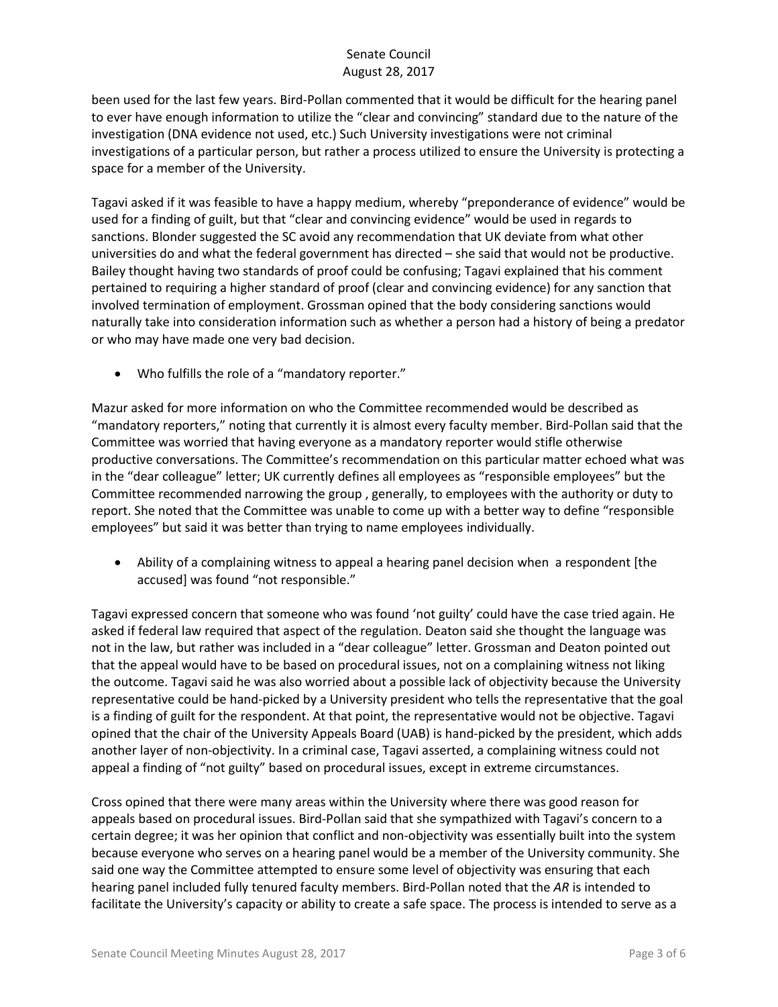been used for the last few years. Bird-Pollan commented that it would be difficult for the hearing panel to ever have enough information to utilize the "clear and convincing" standard due to the nature of the investigation (DNA evidence not used, etc.) Such University investigations were not criminal investigations of a particular person, but rather a process utilized to ensure the University is protecting a space for a member of the University.

Tagavi asked if it was feasible to have a happy medium, whereby "preponderance of evidence" would be used for a finding of guilt, but that "clear and convincing evidence" would be used in regards to sanctions. Blonder suggested the SC avoid any recommendation that UK deviate from what other universities do and what the federal government has directed – she said that would not be productive. Bailey thought having two standards of proof could be confusing; Tagavi explained that his comment pertained to requiring a higher standard of proof (clear and convincing evidence) for any sanction that involved termination of employment. Grossman opined that the body considering sanctions would naturally take into consideration information such as whether a person had a history of being a predator or who may have made one very bad decision.

Who fulfills the role of a "mandatory reporter."

Mazur asked for more information on who the Committee recommended would be described as "mandatory reporters," noting that currently it is almost every faculty member. Bird-Pollan said that the Committee was worried that having everyone as a mandatory reporter would stifle otherwise productive conversations. The Committee's recommendation on this particular matter echoed what was in the "dear colleague" letter; UK currently defines all employees as "responsible employees" but the Committee recommended narrowing the group , generally, to employees with the authority or duty to report. She noted that the Committee was unable to come up with a better way to define "responsible employees" but said it was better than trying to name employees individually.

 Ability of a complaining witness to appeal a hearing panel decision when a respondent [the accused] was found "not responsible."

Tagavi expressed concern that someone who was found 'not guilty' could have the case tried again. He asked if federal law required that aspect of the regulation. Deaton said she thought the language was not in the law, but rather was included in a "dear colleague" letter. Grossman and Deaton pointed out that the appeal would have to be based on procedural issues, not on a complaining witness not liking the outcome. Tagavi said he was also worried about a possible lack of objectivity because the University representative could be hand-picked by a University president who tells the representative that the goal is a finding of guilt for the respondent. At that point, the representative would not be objective. Tagavi opined that the chair of the University Appeals Board (UAB) is hand-picked by the president, which adds another layer of non-objectivity. In a criminal case, Tagavi asserted, a complaining witness could not appeal a finding of "not guilty" based on procedural issues, except in extreme circumstances.

Cross opined that there were many areas within the University where there was good reason for appeals based on procedural issues. Bird-Pollan said that she sympathized with Tagavi's concern to a certain degree; it was her opinion that conflict and non-objectivity was essentially built into the system because everyone who serves on a hearing panel would be a member of the University community. She said one way the Committee attempted to ensure some level of objectivity was ensuring that each hearing panel included fully tenured faculty members. Bird-Pollan noted that the *AR* is intended to facilitate the University's capacity or ability to create a safe space. The process is intended to serve as a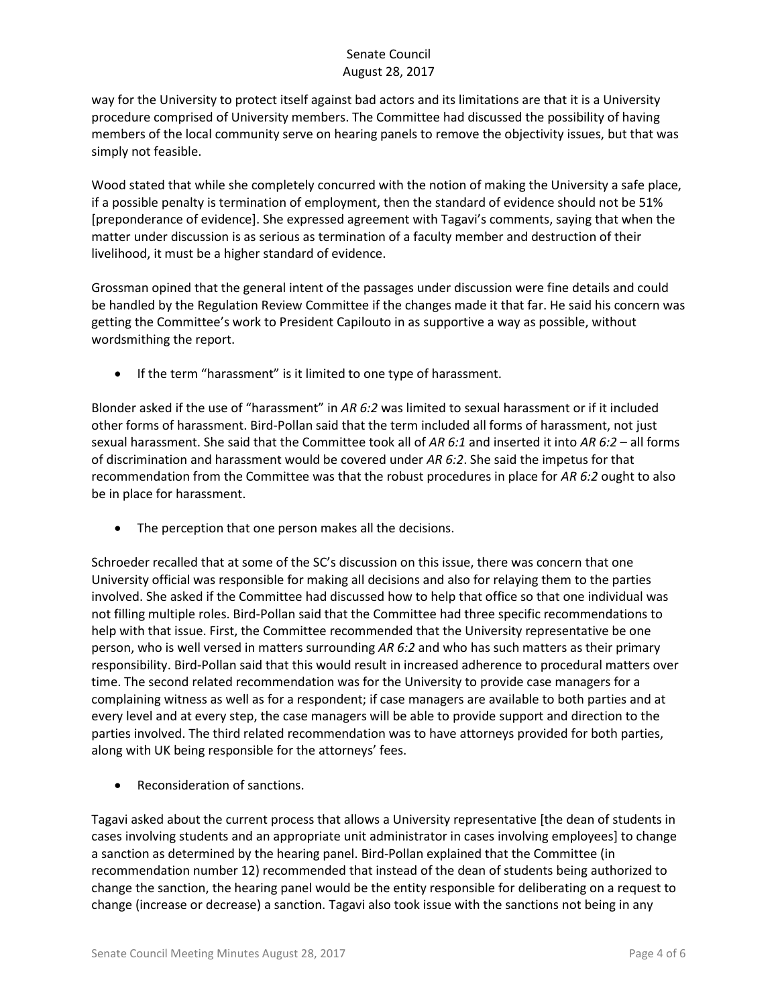way for the University to protect itself against bad actors and its limitations are that it is a University procedure comprised of University members. The Committee had discussed the possibility of having members of the local community serve on hearing panels to remove the objectivity issues, but that was simply not feasible.

Wood stated that while she completely concurred with the notion of making the University a safe place, if a possible penalty is termination of employment, then the standard of evidence should not be 51% [preponderance of evidence]. She expressed agreement with Tagavi's comments, saying that when the matter under discussion is as serious as termination of a faculty member and destruction of their livelihood, it must be a higher standard of evidence.

Grossman opined that the general intent of the passages under discussion were fine details and could be handled by the Regulation Review Committee if the changes made it that far. He said his concern was getting the Committee's work to President Capilouto in as supportive a way as possible, without wordsmithing the report.

• If the term "harassment" is it limited to one type of harassment.

Blonder asked if the use of "harassment" in *AR 6:2* was limited to sexual harassment or if it included other forms of harassment. Bird-Pollan said that the term included all forms of harassment, not just sexual harassment. She said that the Committee took all of *AR 6:1* and inserted it into *AR 6:2* – all forms of discrimination and harassment would be covered under *AR 6:2*. She said the impetus for that recommendation from the Committee was that the robust procedures in place for *AR 6:2* ought to also be in place for harassment.

• The perception that one person makes all the decisions.

Schroeder recalled that at some of the SC's discussion on this issue, there was concern that one University official was responsible for making all decisions and also for relaying them to the parties involved. She asked if the Committee had discussed how to help that office so that one individual was not filling multiple roles. Bird-Pollan said that the Committee had three specific recommendations to help with that issue. First, the Committee recommended that the University representative be one person, who is well versed in matters surrounding *AR 6:2* and who has such matters as their primary responsibility. Bird-Pollan said that this would result in increased adherence to procedural matters over time. The second related recommendation was for the University to provide case managers for a complaining witness as well as for a respondent; if case managers are available to both parties and at every level and at every step, the case managers will be able to provide support and direction to the parties involved. The third related recommendation was to have attorneys provided for both parties, along with UK being responsible for the attorneys' fees.

Reconsideration of sanctions.

Tagavi asked about the current process that allows a University representative [the dean of students in cases involving students and an appropriate unit administrator in cases involving employees] to change a sanction as determined by the hearing panel. Bird-Pollan explained that the Committee (in recommendation number 12) recommended that instead of the dean of students being authorized to change the sanction, the hearing panel would be the entity responsible for deliberating on a request to change (increase or decrease) a sanction. Tagavi also took issue with the sanctions not being in any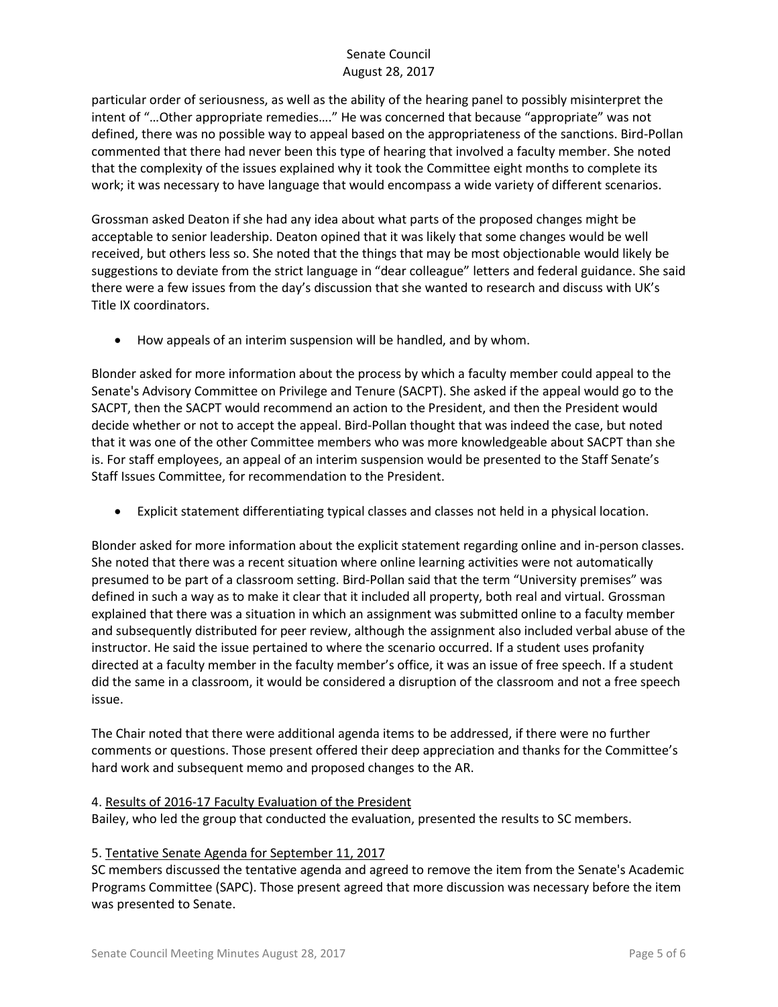particular order of seriousness, as well as the ability of the hearing panel to possibly misinterpret the intent of "…Other appropriate remedies…." He was concerned that because "appropriate" was not defined, there was no possible way to appeal based on the appropriateness of the sanctions. Bird-Pollan commented that there had never been this type of hearing that involved a faculty member. She noted that the complexity of the issues explained why it took the Committee eight months to complete its work; it was necessary to have language that would encompass a wide variety of different scenarios.

Grossman asked Deaton if she had any idea about what parts of the proposed changes might be acceptable to senior leadership. Deaton opined that it was likely that some changes would be well received, but others less so. She noted that the things that may be most objectionable would likely be suggestions to deviate from the strict language in "dear colleague" letters and federal guidance. She said there were a few issues from the day's discussion that she wanted to research and discuss with UK's Title IX coordinators.

How appeals of an interim suspension will be handled, and by whom.

Blonder asked for more information about the process by which a faculty member could appeal to the Senate's Advisory Committee on Privilege and Tenure (SACPT). She asked if the appeal would go to the SACPT, then the SACPT would recommend an action to the President, and then the President would decide whether or not to accept the appeal. Bird-Pollan thought that was indeed the case, but noted that it was one of the other Committee members who was more knowledgeable about SACPT than she is. For staff employees, an appeal of an interim suspension would be presented to the Staff Senate's Staff Issues Committee, for recommendation to the President.

Explicit statement differentiating typical classes and classes not held in a physical location.

Blonder asked for more information about the explicit statement regarding online and in-person classes. She noted that there was a recent situation where online learning activities were not automatically presumed to be part of a classroom setting. Bird-Pollan said that the term "University premises" was defined in such a way as to make it clear that it included all property, both real and virtual. Grossman explained that there was a situation in which an assignment was submitted online to a faculty member and subsequently distributed for peer review, although the assignment also included verbal abuse of the instructor. He said the issue pertained to where the scenario occurred. If a student uses profanity directed at a faculty member in the faculty member's office, it was an issue of free speech. If a student did the same in a classroom, it would be considered a disruption of the classroom and not a free speech issue.

The Chair noted that there were additional agenda items to be addressed, if there were no further comments or questions. Those present offered their deep appreciation and thanks for the Committee's hard work and subsequent memo and proposed changes to the AR.

#### 4. Results of 2016-17 Faculty Evaluation of the President

Bailey, who led the group that conducted the evaluation, presented the results to SC members.

#### 5. Tentative Senate Agenda for September 11, 2017

SC members discussed the tentative agenda and agreed to remove the item from the Senate's Academic Programs Committee (SAPC). Those present agreed that more discussion was necessary before the item was presented to Senate.